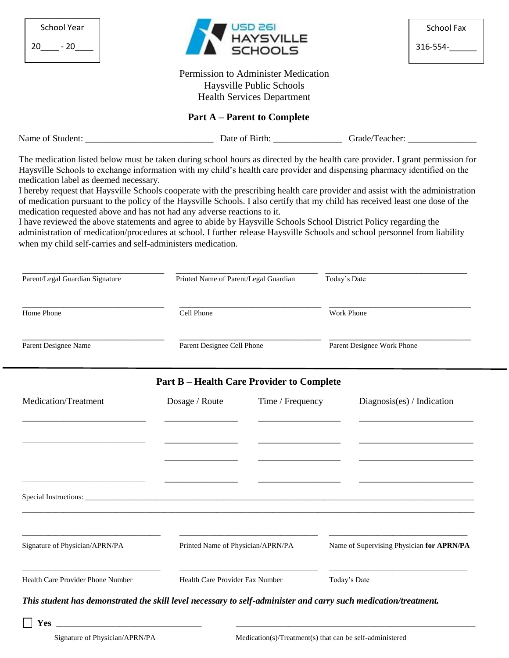| <b>School Year</b><br>$20 - 20$                                                                                                                                                                                                                                                                                                                                                                                                                                                                                                                                                                                                                                                                                                                                                                                                                                                                                                                                     |                                   |                                       | USD 261<br>HAYSVILLE<br>SCHOOLS                                                                      |                                           | School Fax<br>316-554- |
|---------------------------------------------------------------------------------------------------------------------------------------------------------------------------------------------------------------------------------------------------------------------------------------------------------------------------------------------------------------------------------------------------------------------------------------------------------------------------------------------------------------------------------------------------------------------------------------------------------------------------------------------------------------------------------------------------------------------------------------------------------------------------------------------------------------------------------------------------------------------------------------------------------------------------------------------------------------------|-----------------------------------|---------------------------------------|------------------------------------------------------------------------------------------------------|-------------------------------------------|------------------------|
|                                                                                                                                                                                                                                                                                                                                                                                                                                                                                                                                                                                                                                                                                                                                                                                                                                                                                                                                                                     |                                   |                                       | Permission to Administer Medication<br>Haysville Public Schools<br><b>Health Services Department</b> |                                           |                        |
|                                                                                                                                                                                                                                                                                                                                                                                                                                                                                                                                                                                                                                                                                                                                                                                                                                                                                                                                                                     |                                   |                                       | <b>Part A</b> – Parent to Complete                                                                   |                                           |                        |
|                                                                                                                                                                                                                                                                                                                                                                                                                                                                                                                                                                                                                                                                                                                                                                                                                                                                                                                                                                     |                                   |                                       |                                                                                                      |                                           |                        |
| The medication listed below must be taken during school hours as directed by the health care provider. I grant permission for<br>Haysville Schools to exchange information with my child's health care provider and dispensing pharmacy identified on the<br>medication label as deemed necessary.<br>I hereby request that Haysville Schools cooperate with the prescribing health care provider and assist with the administration<br>of medication pursuant to the policy of the Haysville Schools. I also certify that my child has received least one dose of the<br>medication requested above and has not had any adverse reactions to it.<br>I have reviewed the above statements and agree to abide by Haysville Schools School District Policy regarding the<br>administration of medication/procedures at school. I further release Haysville Schools and school personnel from liability<br>when my child self-carries and self-administers medication. |                                   |                                       |                                                                                                      |                                           |                        |
| Parent/Legal Guardian Signature                                                                                                                                                                                                                                                                                                                                                                                                                                                                                                                                                                                                                                                                                                                                                                                                                                                                                                                                     |                                   | Printed Name of Parent/Legal Guardian |                                                                                                      | Today's Date                              |                        |
| Home Phone                                                                                                                                                                                                                                                                                                                                                                                                                                                                                                                                                                                                                                                                                                                                                                                                                                                                                                                                                          |                                   | Cell Phone                            |                                                                                                      | Work Phone                                |                        |
| Parent Designee Name                                                                                                                                                                                                                                                                                                                                                                                                                                                                                                                                                                                                                                                                                                                                                                                                                                                                                                                                                |                                   | Parent Designee Cell Phone            |                                                                                                      | Parent Designee Work Phone                |                        |
|                                                                                                                                                                                                                                                                                                                                                                                                                                                                                                                                                                                                                                                                                                                                                                                                                                                                                                                                                                     |                                   |                                       | <b>Part B – Health Care Provider to Complete</b>                                                     |                                           |                        |
| Medication/Treatment                                                                                                                                                                                                                                                                                                                                                                                                                                                                                                                                                                                                                                                                                                                                                                                                                                                                                                                                                |                                   | Dosage / Route                        | Time / Frequency                                                                                     | Diagnosis(es) / Indication                |                        |
|                                                                                                                                                                                                                                                                                                                                                                                                                                                                                                                                                                                                                                                                                                                                                                                                                                                                                                                                                                     |                                   |                                       |                                                                                                      |                                           |                        |
| Signature of Physician/APRN/PA                                                                                                                                                                                                                                                                                                                                                                                                                                                                                                                                                                                                                                                                                                                                                                                                                                                                                                                                      | Printed Name of Physician/APRN/PA |                                       |                                                                                                      | Name of Supervising Physician for APRN/PA |                        |
| Health Care Provider Phone Number                                                                                                                                                                                                                                                                                                                                                                                                                                                                                                                                                                                                                                                                                                                                                                                                                                                                                                                                   |                                   | Health Care Provider Fax Number       |                                                                                                      | Today's Date                              |                        |
| This student has demonstrated the skill level necessary to self-administer and carry such medication/treatment.<br>Yes                                                                                                                                                                                                                                                                                                                                                                                                                                                                                                                                                                                                                                                                                                                                                                                                                                              |                                   |                                       |                                                                                                      |                                           |                        |
| Signature of Physician/APRN/PA                                                                                                                                                                                                                                                                                                                                                                                                                                                                                                                                                                                                                                                                                                                                                                                                                                                                                                                                      |                                   |                                       | Medication(s)/Treatment(s) that can be self-administered                                             |                                           |                        |